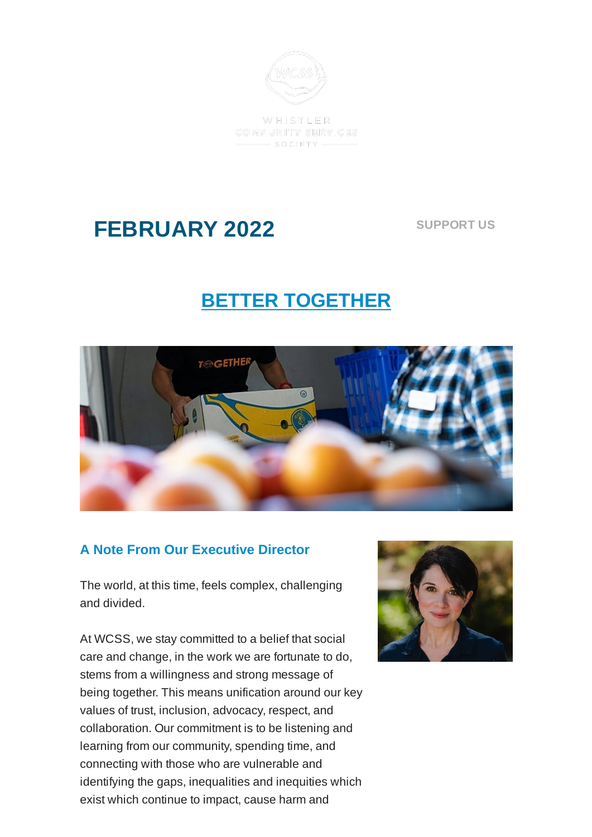

WHISTLER COMMUNITY SERVICES  $-$  SOCIETY -

# **FEBRUARY 2022**

**[SUPPORT](https://mywcss.org/fundraiser) US**

## **BETTER TOGETHER**



### **A Note From Our Executive Director**

The world, at this time, feels complex, challenging and divided.

At WCSS, we stay committed to a belief that social care and change, in the work we are fortunate to do, stems from a willingness and strong message of being together. This means unification around our key values of trust, inclusion, advocacy, respect, and collaboration. Our commitment is to be listening and learning from our community, spending time, and connecting with those who are vulnerable and identifying the gaps, inequalities and inequities which exist which continue to impact, cause harm and

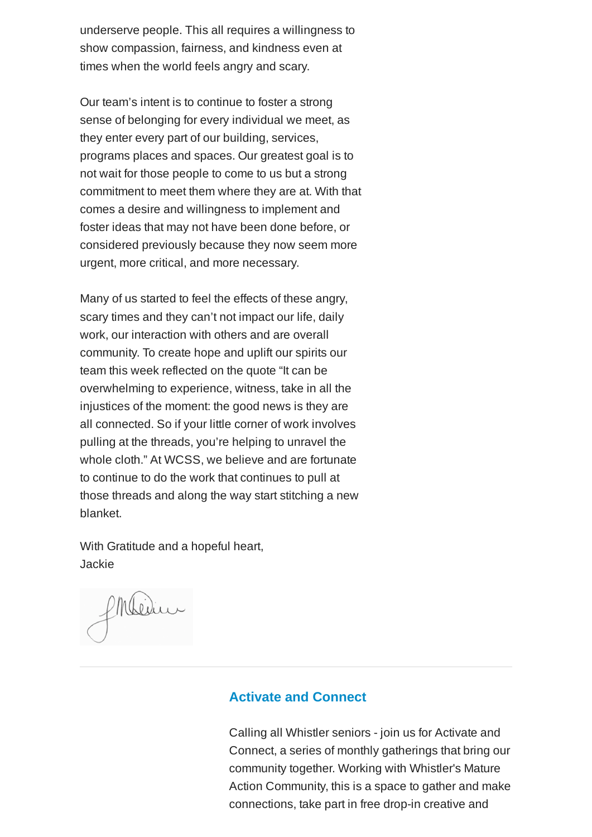underserve people. This all requires a willingness to show compassion, fairness, and kindness even at times when the world feels angry and scary.

Our team's intent is to continue to foster a strong sense of belonging for every individual we meet, as they enter every part of our building, services, programs places and spaces. Our greatest goal is to not wait for those people to come to us but a strong commitment to meet them where they are at. With that comes a desire and willingness to implement and foster ideas that may not have been done before, or considered previously because they now seem more urgent, more critical, and more necessary.

Many of us started to feel the effects of these angry, scary times and they can't not impact our life, daily work, our interaction with others and are overall community. To create hope and uplift our spirits our team this week reflected on the quote "It can be overwhelming to experience, witness, take in all the injustices of the moment: the good news is they are all connected. So if your little corner of work involves pulling at the threads, you're helping to unravel the whole cloth." At WCSS, we believe and are fortunate to continue to do the work that continues to pull at those threads and along the way start stitching a new blanket.

With Gratitude and a hopeful heart, Jackie

Philidin

#### **Activate and Connect**

Calling all Whistler seniors - join us for Activate and Connect, a series of monthly gatherings that bring our community together. Working with Whistler's Mature Action Community, this is a space to gather and make connections, take part in free drop-in creative and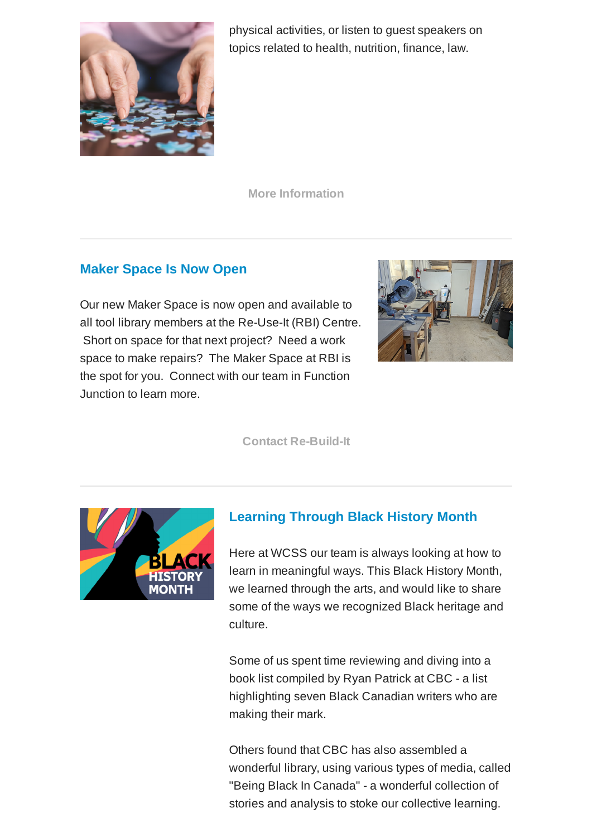

physical activities, or listen to guest speakers on topics related to health, nutrition, finance, law.

**More [Information](https://mywcss.org/mental-and-emotional-health/activate-and-connect)**

### **Maker Space Is Now Open**

Our new Maker Space is now open and available to all tool library members at the Re-Use-It (RBI) Centre. Short on space for that next project? Need a work space to make repairs? The Maker Space at RBI is the spot for you. Connect with our team in Function Junction to learn more.



**Contact [Re-Build-It](https://mywcss.org/social-enterprises/re-build-it-centre)**



### **Learning Through Black History Month**

Here at WCSS our team is always looking at how to learn in meaningful ways. This Black History Month, we learned through the arts, and would like to share some of the ways we recognized Black heritage and culture.

Some of us spent time reviewing and diving into a book list compiled by Ryan Patrick at CBC - a list highlighting seven Black Canadian writers who are making their mark.

Others found that CBC has also assembled a wonderful library, using various types of media, called "Being Black In Canada" - a wonderful collection of stories and analysis to stoke our collective learning.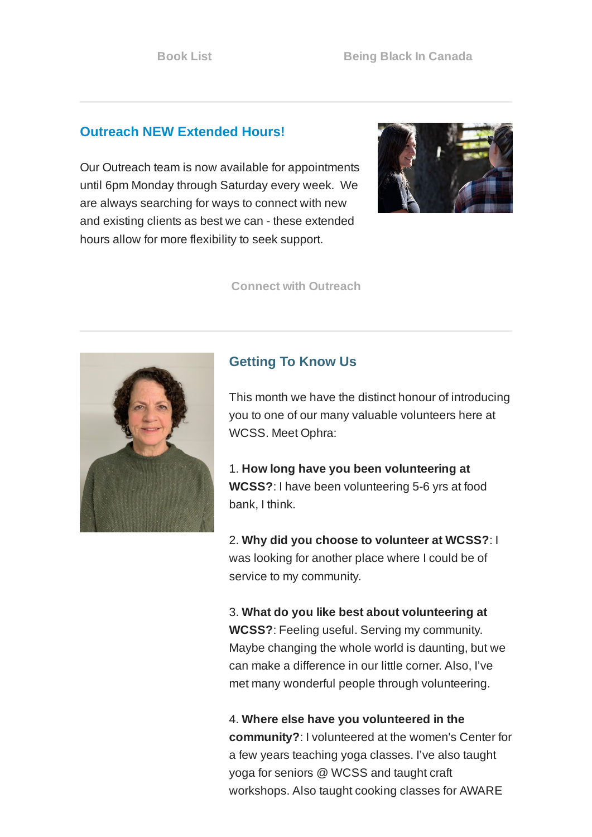#### **Outreach NEW Extended Hours!**

Our Outreach team is now available for appointments until 6pm Monday through Saturday every week. We are always searching for ways to connect with new and existing clients as best we can - these extended hours allow for more flexibility to seek support.



**Connect with [Outreach](https://mywcss.org/contact-outreach)**



#### **Getting To Know Us**

This month we have the distinct honour of introducing you to one of our many valuable volunteers here at WCSS. Meet Ophra:

1. **How long have you been volunteering at WCSS?**: I have been volunteering 5-6 yrs at food bank, I think.

2. **Why did you choose to volunteer at WCSS?**: I was looking for another place where I could be of service to my community.

3. **What do you like best about volunteering at WCSS?**: Feeling useful. Serving my community. Maybe changing the whole world is daunting, but we can make a difference in our little corner. Also, I've met many wonderful people through volunteering.

4. **Where else have you volunteered in the community?**: I volunteered at the women's Center for a few years teaching yoga classes. I've also taught yoga for seniors @ WCSS and taught craft workshops. Also taught cooking classes for AWARE